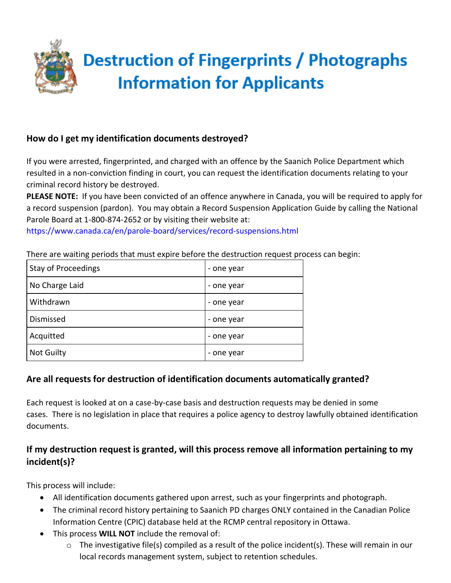

# **How do I get my identification documents destroyed?**

If you were arrested, fingerprinted, and charged with an offence by the Saanich Police Department which resulted in a non-conviction finding in court, you can request the identification documents relating to your criminal record history be destroyed.

**PLEASE NOTE:** If you have been convicted of an offence anywhere in Canada, you will be required to apply for a record suspension (pardon). You may obtain a Record Suspension Application Guide by calling the National Parole Board at 1-800-874-2652 or by visiting their website at:

https://www.canada.ca/en/parole-board/services/record-suspensions.html

There are waiting periods that must expire before the destruction request process can begin:

| <b>Stay of Proceedings</b> | - one year |
|----------------------------|------------|
| No Charge Laid             | - one year |
| Withdrawn                  | - one year |
| Dismissed                  | - one year |
| Acquitted                  | - one year |
| <b>Not Guilty</b>          | - one year |

#### **Are all requests for destruction of identification documents automatically granted?**

Each request is looked at on a case-by-case basis and destruction requests may be denied in some cases. There is no legislation in place that requires a police agency to destroy lawfully obtained identification documents.

# **If my destruction request is granted, will this process remove all information pertaining to my incident(s)?**

This process will include:

- All identification documents gathered upon arrest, such as your fingerprints and photograph.
- The criminal record history pertaining to Saanich PD charges ONLY contained in the Canadian Police Information Centre (CPIC) database held at the RCMP central repository in Ottawa.
- This process **WILL NOT** include the removal of:
	- $\circ$  The investigative file(s) compiled as a result of the police incident(s). These will remain in our local records management system, subject to retention schedules.